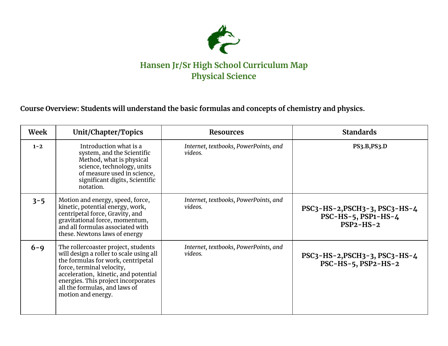

**Course Overview: Students will understand the basic formulas and concepts of chemistry and physics.**

| Week    | Unit/Chapter/Topics                                                                                                                                                                                                                                                                      | <b>Resources</b>                                 | <b>Standards</b>                                                         |
|---------|------------------------------------------------------------------------------------------------------------------------------------------------------------------------------------------------------------------------------------------------------------------------------------------|--------------------------------------------------|--------------------------------------------------------------------------|
| $1 - 2$ | Introduction what is a<br>system, and the Scientific<br>Method, what is physical<br>science, technology, units<br>of measure used in science,<br>significant digits, Scientific<br>notation.                                                                                             | Internet, textbooks, PowerPoints, and<br>videos. | PS3.B.PS3.D                                                              |
| $3 - 5$ | Motion and energy, speed, force,<br>kinetic, potential energy, work,<br>centripetal force, Gravity, and<br>gravitational force, momentum,<br>and all formulas associated with<br>these. Newtons laws of energy                                                                           | Internet, textbooks, PowerPoints, and<br>videos. | PSC3-HS-2, PSCH3-3, PSC3-HS-4<br>$PSC-HS-5$ , $PSP1-HS-4$<br>$PSP2-HS-2$ |
| $6 - 9$ | The roller coaster project, students<br>will design a roller to scale using all<br>the formulas for work, centripetal<br>force, terminal velocity,<br>acceleration, kinetic, and potential<br>energies. This project incorporates<br>all the formulas, and laws of<br>motion and energy. | Internet, textbooks, PowerPoints, and<br>videos. | $PSC3-HS-2, PSCH3-3, PSC3-HS-4$<br>$PSC-HS-5$ , $PSP2-HS-2$              |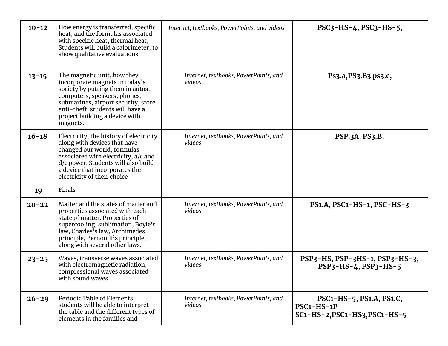| $10 - 12$ | How energy is transferred, specific<br>heat, and the formulas associated<br>with specific heat, thermal heat,<br>Students will build a calorimeter, to<br>show qualitative evaluations.                                                                     | Internet, textbooks, PowerPoints, and videos    | $PSC3-HS-4$ , $PSC3-HS-5$ ,                                             |
|-----------|-------------------------------------------------------------------------------------------------------------------------------------------------------------------------------------------------------------------------------------------------------------|-------------------------------------------------|-------------------------------------------------------------------------|
| $13 - 15$ | The magnetic unit, how they<br>incorporate magnets in today's<br>society by putting them in autos,<br>computers, speakers, phones,<br>submarines, airport security, store<br>anti-theft, students will have a<br>project building a device with<br>magnets. | Internet, textbooks, PowerPoints, and<br>videos | Ps3.a, PS3.B3 ps3.c,                                                    |
| $16 - 18$ | Electricity, the history of electricity<br>along with devices that have<br>changed our world, formulas<br>associated with electricity, a/c and<br>d/c power. Students will also build<br>a device that incorporates the<br>electricity of their choice      | Internet, textbooks, PowerPoints, and<br>videos | PSP.3A, PS3.B,                                                          |
| 19        | Finals                                                                                                                                                                                                                                                      |                                                 |                                                                         |
| $20 - 22$ | Matter and the states of matter and<br>properties associated with each<br>state of matter. Properties of<br>supercooling, sublimation, Boyle's<br>law, Charles's law, Archimedes<br>principle, Bernoulli's principle,<br>along with several other laws.     | Internet, textbooks, PowerPoints, and<br>videos | PS1.A, PSC1-HS-1, PSC-HS-3                                              |
| $23 - 25$ | Waves, transverse waves associated<br>with electromagnetic radiation,<br>compressional waves associated<br>with sound waves                                                                                                                                 | Internet, textbooks, PowerPoints, and<br>videos | PSP3-HS, PSP-3HS-1, PSP3-HS-3,<br>PSP3-HS-4, PSP3-HS-5                  |
| $26 - 29$ | Periodic Table of Elements,<br>students will be able to interpret<br>the table and the different types of<br>elements in the families and                                                                                                                   | Internet, textbooks, PowerPoints, and<br>videos | PSC1-HS-5, PS1.A, PS1.C,<br>PSC1-HS-1P<br>SC1-HS-2, PSC1-HS3, PSC1-HS-5 |